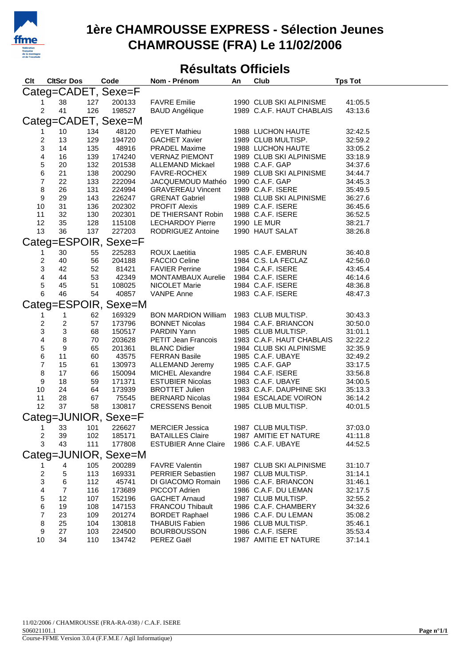

## **1ère CHAMROUSSE EXPRESS - Sélection Jeunes CHAMROUSSE (FRA) Le 11/02/2006**

## **Résultats Officiels**

| <b>CltScr Dos</b><br>Clt |                           |     | Code                 | Club<br>Nom - Prénom<br>An                              |  |                           | <b>Tps Tot</b> |  |  |  |  |  |
|--------------------------|---------------------------|-----|----------------------|---------------------------------------------------------|--|---------------------------|----------------|--|--|--|--|--|
|                          |                           |     | Categ=CADET, Sexe=F  |                                                         |  |                           |                |  |  |  |  |  |
| 1                        | 38                        | 127 | 200133               | <b>FAVRE Emilie</b>                                     |  | 1990 CLUB SKI ALPINISME   | 41:05.5        |  |  |  |  |  |
| $\overline{2}$           | 41                        | 126 | 198527               | <b>BAUD Angélique</b>                                   |  | 1989 C.A.F. HAUT CHABLAIS | 43:13.6        |  |  |  |  |  |
| Categ=CADET, Sexe=M      |                           |     |                      |                                                         |  |                           |                |  |  |  |  |  |
| 1                        | $10$                      | 134 | 48120                | <b>PEYET Mathieu</b>                                    |  | 1988 LUCHON HAUTE         | 32:42.5        |  |  |  |  |  |
| 2                        | 13                        | 129 | 194720               | GACHET Xavier                                           |  | 1989 CLUB MULTISP.        | 32:59.2        |  |  |  |  |  |
| 3                        | 14                        | 135 | 48916                | PRADEL Maxime                                           |  | 1988 LUCHON HAUTE         | 33:05.2        |  |  |  |  |  |
| 4                        | 16                        | 139 | 174240               | VERNAZ PIEMONT                                          |  | 1989 CLUB SKI ALPINISME   | 33:18.9        |  |  |  |  |  |
| 5                        | 20                        | 132 | 201538               | ALLEMAND Mickael                                        |  | 1988 C.A.F. GAP           | 34:37.6        |  |  |  |  |  |
| $\,$ 6 $\,$              | 21                        | 138 | 200290               | FAVRE-ROCHEX                                            |  | 1989 CLUB SKI ALPINISME   | 34:44.7        |  |  |  |  |  |
| $\overline{\mathbf{7}}$  | 22                        | 133 | 222094               | JACQUEMOUD Mathéo 1990 C.A.F. GAP                       |  |                           | 34:45.3        |  |  |  |  |  |
| $\, 8$                   | 26                        | 131 | 224994               | <b>GRAVEREAU Vincent</b>                                |  | 1989 C.A.F. ISERE         | 35:49.5        |  |  |  |  |  |
| $\boldsymbol{9}$         | 29                        | 143 | 226247               | <b>GRENAT Gabriel</b>                                   |  | 1988 CLUB SKI ALPINISME   | 36:27.6        |  |  |  |  |  |
| 10                       | 31                        | 136 | 202302               | <b>PROFIT Alexis</b>                                    |  | 1989 C.A.F. ISERE         | 36:45.6        |  |  |  |  |  |
| 11                       | 32                        | 130 | 202301               | DE THIERSANT Robin                                      |  | 1988 C.A.F. ISERE         | 36:52.5        |  |  |  |  |  |
| 12                       | 35                        | 128 | 115108               | <b>LECHARDOY Pierre</b>                                 |  | 1990 LE MUR               | 38:21.7        |  |  |  |  |  |
| 13                       | 36                        | 137 | 227203               | RODRIGUEZ Antoine                                       |  | 1990 HAUT SALAT           | 38:26.8        |  |  |  |  |  |
|                          |                           |     | Categ=ESPOIR, Sexe=F |                                                         |  |                           |                |  |  |  |  |  |
| 1                        | 30                        | 55  | 225283               | ROUX Laetitia                                           |  | 1985 C.A.F. EMBRUN        | 36:40.8        |  |  |  |  |  |
| 2                        | 40                        | 56  | 204188               | <b>FACCIO Celine</b>                                    |  | 1984 C.S. LA FECLAZ       | 42:56.0        |  |  |  |  |  |
| 3                        | 42                        | 52  | 81421                | <b>FAVIER Perrine</b>                                   |  | 1984 C.A.F. ISERE         | 43:45.4        |  |  |  |  |  |
| 4                        | 44                        | 53  | 42349                | MONTAMBAUX Aurelie 1984 C.A.F. ISERE                    |  |                           | 46:14.6        |  |  |  |  |  |
| 5                        | 45                        | 51  | 108025               | NICOLET Marie                                           |  | 1984 C.A.F. ISERE         | 48:36.8        |  |  |  |  |  |
| 6                        | 46                        | 54  | 40857                | VANPE Anne                                              |  | 1983 C.A.F. ISERE         | 48:47.3        |  |  |  |  |  |
|                          |                           |     | Categ=ESPOIR, Sexe=M |                                                         |  |                           |                |  |  |  |  |  |
| 1                        | 1                         | 62  | 169329               | <b>BON MARDION William</b>                              |  | 1983 CLUB MULTISP.        | 30:43.3        |  |  |  |  |  |
| $\overline{\mathbf{c}}$  | $\overline{\mathbf{c}}$   | 57  | 173796               | <b>BONNET Nicolas</b>                                   |  | 1984 C.A.F. BRIANCON      | 30:50.0        |  |  |  |  |  |
| 3                        | $\ensuremath{\mathsf{3}}$ | 68  | 150517               | PARDIN Yann                                             |  | 1985 CLUB MULTISP.        | 31:01.1        |  |  |  |  |  |
| 4                        | $\,8\,$                   | 70  | 203628               | PETIT Jean Francois                                     |  | 1983 C.A.F. HAUT CHABLAIS | 32:22.2        |  |  |  |  |  |
|                          | 9                         | 65  | 201361               | <b>BLANC Didier</b>                                     |  | 1984 CLUB SKI ALPINISME   | 32:35.9        |  |  |  |  |  |
| 5<br>6                   | 11                        | 60  | 43575                | <b>FERRAN Basile</b>                                    |  | 1985 C.A.F. UBAYE         | 32:49.2        |  |  |  |  |  |
| $\overline{7}$           | 15                        | 61  | 130973               |                                                         |  | 1985 C.A.F. GAP           | 33:17.5        |  |  |  |  |  |
| 8                        | 17                        | 66  | 150094               | ALLEMAND Jeremy<br>MICHEL Alexandre<br>ESTUBIER Nicolas |  | 1984 C.A.F. ISERE         | 33:56.8        |  |  |  |  |  |
| 9                        | 18                        | 59  | 171371               |                                                         |  | 1983 C.A.F. UBAYE         | 34:00.5        |  |  |  |  |  |
| 10                       | 24                        | 64  | 173939               | <b>BROTTET Julien</b>                                   |  | 1983 C.A.F. DAUPHINE SKI  | 35:13.3        |  |  |  |  |  |
| 11                       | 28                        | 67  | 75545                | <b>BERNARD Nicolas</b>                                  |  | 1984 ESCALADE VOIRON      | 36:14.2        |  |  |  |  |  |
| 12                       | 37                        | 58  | 130817               | <b>CRESSENS Benoit</b>                                  |  | 1985 CLUB MULTISP.        | 40:01.5        |  |  |  |  |  |
|                          |                           |     | Categ=JUNIOR, Sexe=F |                                                         |  |                           |                |  |  |  |  |  |
|                          |                           |     | 1 33 101 226627      | <b>MERCIER Jessica</b>                                  |  | 1987 CLUB MULTISP.        | 37:03.0        |  |  |  |  |  |
| $\overline{\mathbf{c}}$  | 39                        | 102 | 185171               | <b>BATAILLES Claire</b>                                 |  | 1987 AMITIE ET NATURE     | 41:11.8        |  |  |  |  |  |
| 3                        | 43                        | 111 | 177808               | <b>ESTUBIER Anne Claire</b>                             |  | 1986 C.A.F. UBAYE         | 44:52.5        |  |  |  |  |  |
|                          |                           |     | Categ=JUNIOR, Sexe=M |                                                         |  |                           |                |  |  |  |  |  |
| 1                        | 4                         | 105 | 200289               | <b>FAVRE Valentin</b>                                   |  | 1987 CLUB SKI ALPINISME   | 31:10.7        |  |  |  |  |  |
| 2                        | 5                         | 113 | 169331               | <b>PERRIER Sebastien</b>                                |  | 1987 CLUB MULTISP.        | 31:14.1        |  |  |  |  |  |
| 3                        | 6                         | 112 | 45741                | DI GIACOMO Romain                                       |  | 1986 C.A.F. BRIANCON      | 31:46.1        |  |  |  |  |  |
| 4                        | $\overline{7}$            | 116 | 173689               | PICCOT Adrien                                           |  | 1986 C.A.F. DU LEMAN      | 32:17.5        |  |  |  |  |  |
| 5                        | 12                        | 107 | 152196               | <b>GACHET Arnaud</b>                                    |  | 1987 CLUB MULTISP.        | 32:55.2        |  |  |  |  |  |
| 6                        | 19                        | 108 | 147153               | <b>FRANCOU Thibault</b>                                 |  | 1986 C.A.F. CHAMBERY      | 34:32.6        |  |  |  |  |  |
| $\overline{7}$           | 23                        | 109 | 201274               | <b>BORDET Raphael</b>                                   |  | 1986 C.A.F. DU LEMAN      | 35:08.2        |  |  |  |  |  |
| 8                        | 25                        | 104 | 130818               | <b>THABUIS Fabien</b>                                   |  | 1986 CLUB MULTISP.        | 35:46.1        |  |  |  |  |  |
| 9                        | 27                        | 103 | 224500               | <b>BOURBOUSSON</b>                                      |  | 1986 C.A.F. ISERE         | 35:53.4        |  |  |  |  |  |
| 10                       | 34                        | 110 | 134742               | PEREZ Gaël                                              |  | 1987 AMITIE ET NATURE     | 37:14.1        |  |  |  |  |  |